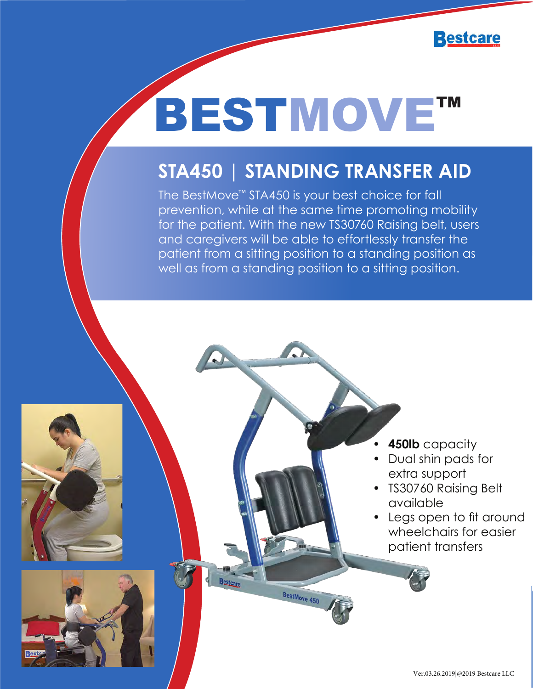

## BESTMOVE™

## **STA450 | STANDING TRANSFER AID**

The BestMove™ STA450 is your best choice for fall prevention, while at the same time promoting mobility for the patient. With the new TS30760 Raising belt, users and caregivers will be able to effortlessly transfer the patient from a sitting position to a standing position as well as from a standing position to a sitting position.

- **• 450lb** capacity
- Dual shin pads for extra support
- TS30760 Raising Belt available
- Legs open to fit around wheelchairs for easier patient transfers



**Bestcard** 

BestMove 450